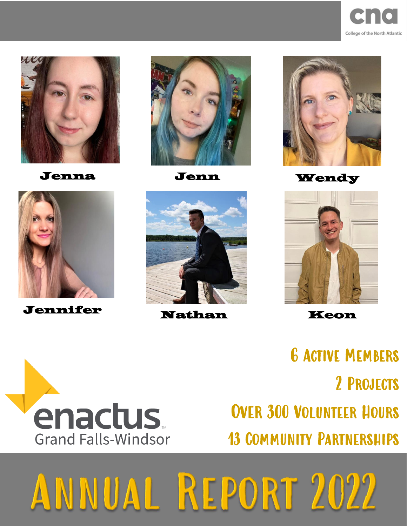





Jennifer Nathan Keon







Jenna Jenn Wendy



6 Active Members 2 Projects Over 300 Volunteer Hours 13 Community Partnerships



## ANNUAL REPORT 2022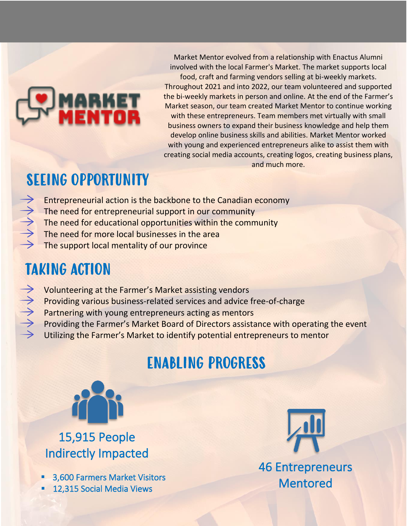# MARKET<br>Wenton

Market Mentor evolved from a relationship with Enactus Alumni involved with the local Farmer's Market. The market supports local food, craft and farming vendors selling at bi-weekly markets. Throughout 2021 and into 2022, our team volunteered and supported the bi-weekly markets in person and online. At the end of the Farmer's Market season, our team created Market Mentor to continue working with these entrepreneurs. Team members met virtually with small business owners to expand their business knowledge and help them develop online business skills and abilities. Market Mentor worked with young and experienced entrepreneurs alike to assist them with creating social media accounts, creating logos, creating business plans, and much more.

#### SEEING OPPORTUNITY

- Entrepreneurial action is the backbone to the Canadian economy
- The need for entrepreneurial support in our community
- The need for educational opportunities within the community
- The need for more local businesses in the area
- The support local mentality of our province

### TAKING ACTION

- トイトイト Volunteering at the Farmer's Market assisting vendors
	- Providing various business-related services and advice free-of-charge
	- Partnering with young entrepreneurs acting as mentors
	- Providing the Farmer's Market Board of Directors assistance with operating the event
	- Utilizing the Farmer's Market to identify potential entrepreneurs to mentor

#### ENABLING PROGRESS



15,915 People Indirectly Impacted

- 3,600 Farmers Market Visitors
- 12,315 Social Media Views



 46 Entrepreneurs Mentored